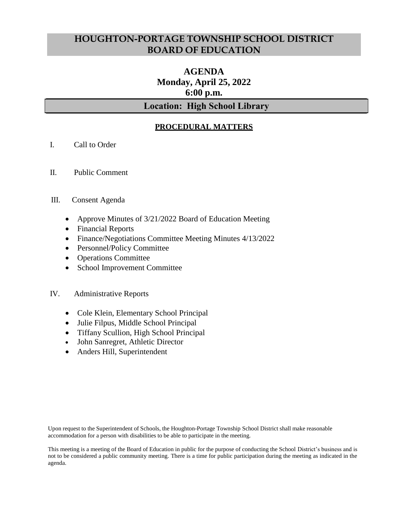## **HOUGHTON-PORTAGE TOWNSHIP SCHOOL DISTRICT BOARD OF EDUCATION**

# **AGENDA Monday, April 25, 2022 6:00 p.m.**

## **Location: High School Library**

## **PROCEDURAL MATTERS**

- I. Call to Order
- II. Public Comment

#### III. Consent Agenda

- Approve Minutes of 3/21/2022 Board of Education Meeting
- Financial Reports
- Finance/Negotiations Committee Meeting Minutes 4/13/2022
- Personnel/Policy Committee
- Operations Committee
- School Improvement Committee

#### IV. Administrative Reports

- Cole Klein, Elementary School Principal
- Julie Filpus, Middle School Principal
- Tiffany Scullion, High School Principal
- John Sanregret, Athletic Director
- Anders Hill, Superintendent

Upon request to the Superintendent of Schools, the Houghton-Portage Township School District shall make reasonable accommodation for a person with disabilities to be able to participate in the meeting.

This meeting is a meeting of the Board of Education in public for the purpose of conducting the School District's business and is not to be considered a public community meeting. There is a time for public participation during the meeting as indicated in the agenda.